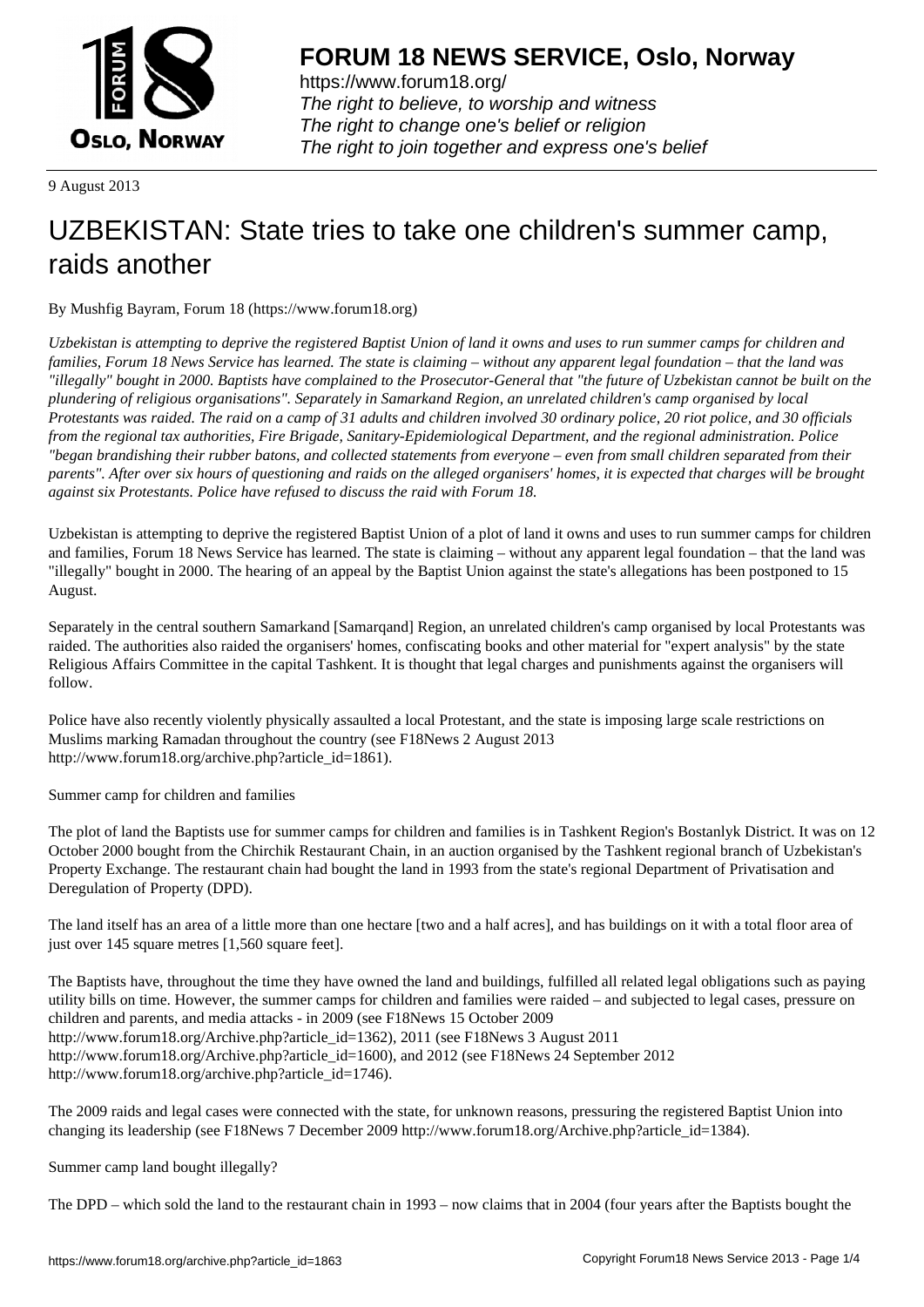

https://www.forum18.org/ The right to believe, to worship and witness The right to change one's belief or religion [The right to join together a](https://www.forum18.org/)nd express one's belief

9 August 2013

## [UZBEKISTAN:](https://www.forum18.org) State tries to take one children's summer camp, raids another

By Mushfig Bayram, Forum 18 (https://www.forum18.org)

*Uzbekistan is attempting to deprive the registered Baptist Union of land it owns and uses to run summer camps for children and families, Forum 18 News Service has learned. The state is claiming – without any apparent legal foundation – that the land was "illegally" bought in 2000. Baptists have complained to the Prosecutor-General that "the future of Uzbekistan cannot be built on the plundering of religious organisations". Separately in Samarkand Region, an unrelated children's camp organised by local Protestants was raided. The raid on a camp of 31 adults and children involved 30 ordinary police, 20 riot police, and 30 officials from the regional tax authorities, Fire Brigade, Sanitary-Epidemiological Department, and the regional administration. Police "began brandishing their rubber batons, and collected statements from everyone – even from small children separated from their parents". After over six hours of questioning and raids on the alleged organisers' homes, it is expected that charges will be brought against six Protestants. Police have refused to discuss the raid with Forum 18.*

Uzbekistan is attempting to deprive the registered Baptist Union of a plot of land it owns and uses to run summer camps for children and families, Forum 18 News Service has learned. The state is claiming – without any apparent legal foundation – that the land was "illegally" bought in 2000. The hearing of an appeal by the Baptist Union against the state's allegations has been postponed to 15 August.

Separately in the central southern Samarkand [Samarqand] Region, an unrelated children's camp organised by local Protestants was raided. The authorities also raided the organisers' homes, confiscating books and other material for "expert analysis" by the state Religious Affairs Committee in the capital Tashkent. It is thought that legal charges and punishments against the organisers will follow.

Police have also recently violently physically assaulted a local Protestant, and the state is imposing large scale restrictions on Muslims marking Ramadan throughout the country (see F18News 2 August 2013 http://www.forum18.org/archive.php?article\_id=1861).

Summer camp for children and families

The plot of land the Baptists use for summer camps for children and families is in Tashkent Region's Bostanlyk District. It was on 12 October 2000 bought from the Chirchik Restaurant Chain, in an auction organised by the Tashkent regional branch of Uzbekistan's Property Exchange. The restaurant chain had bought the land in 1993 from the state's regional Department of Privatisation and Deregulation of Property (DPD).

The land itself has an area of a little more than one hectare [two and a half acres], and has buildings on it with a total floor area of just over 145 square metres [1,560 square feet].

The Baptists have, throughout the time they have owned the land and buildings, fulfilled all related legal obligations such as paying utility bills on time. However, the summer camps for children and families were raided – and subjected to legal cases, pressure on children and parents, and media attacks - in 2009 (see F18News 15 October 2009 http://www.forum18.org/Archive.php?article\_id=1362), 2011 (see F18News 3 August 2011 http://www.forum18.org/Archive.php?article\_id=1600), and 2012 (see F18News 24 September 2012 http://www.forum18.org/archive.php?article\_id=1746).

The 2009 raids and legal cases were connected with the state, for unknown reasons, pressuring the registered Baptist Union into changing its leadership (see F18News 7 December 2009 http://www.forum18.org/Archive.php?article\_id=1384).

Summer camp land bought illegally?

The DPD – which sold the land to the restaurant chain in 1993 – now claims that in 2004 (four years after the Baptists bought the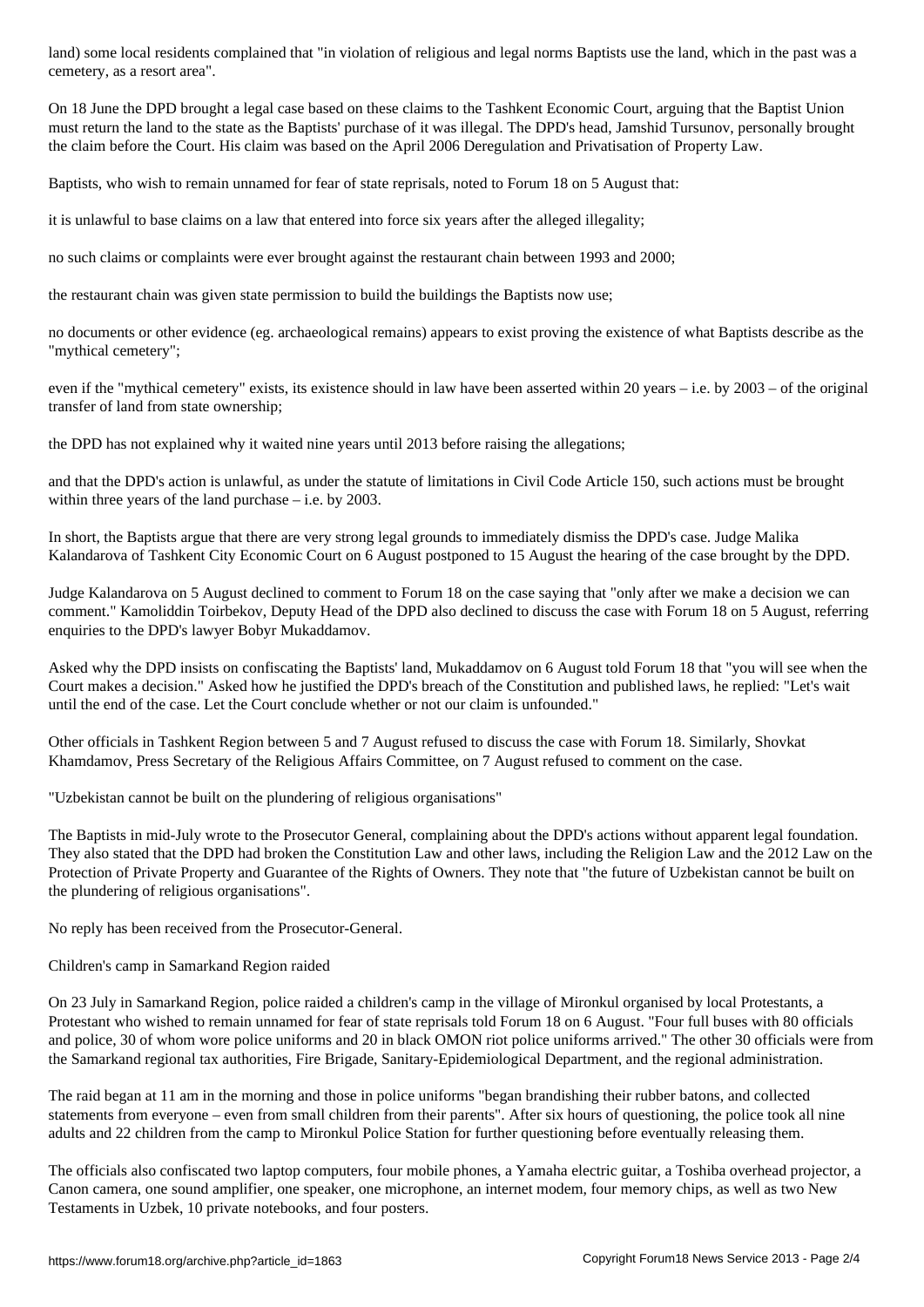On 18 June the DPD brought a legal case based on these claims to the Tashkent Economic Court, arguing that the Baptist Union must return the land to the state as the Baptists' purchase of it was illegal. The DPD's head, Jamshid Tursunov, personally brought the claim before the Court. His claim was based on the April 2006 Deregulation and Privatisation of Property Law.

Baptists, who wish to remain unnamed for fear of state reprisals, noted to Forum 18 on 5 August that:

it is unlawful to base claims on a law that entered into force six years after the alleged illegality;

no such claims or complaints were ever brought against the restaurant chain between 1993 and 2000;

the restaurant chain was given state permission to build the buildings the Baptists now use;

no documents or other evidence (eg. archaeological remains) appears to exist proving the existence of what Baptists describe as the "mythical cemetery";

even if the "mythical cemetery" exists, its existence should in law have been asserted within 20 years – i.e. by 2003 – of the original transfer of land from state ownership;

the DPD has not explained why it waited nine years until 2013 before raising the allegations;

and that the DPD's action is unlawful, as under the statute of limitations in Civil Code Article 150, such actions must be brought within three years of the land purchase  $-$  i.e. by 2003.

In short, the Baptists argue that there are very strong legal grounds to immediately dismiss the DPD's case. Judge Malika Kalandarova of Tashkent City Economic Court on 6 August postponed to 15 August the hearing of the case brought by the DPD.

Judge Kalandarova on 5 August declined to comment to Forum 18 on the case saying that "only after we make a decision we can comment." Kamoliddin Toirbekov, Deputy Head of the DPD also declined to discuss the case with Forum 18 on 5 August, referring enquiries to the DPD's lawyer Bobyr Mukaddamov.

Asked why the DPD insists on confiscating the Baptists' land, Mukaddamov on 6 August told Forum 18 that "you will see when the Court makes a decision." Asked how he justified the DPD's breach of the Constitution and published laws, he replied: "Let's wait until the end of the case. Let the Court conclude whether or not our claim is unfounded."

Other officials in Tashkent Region between 5 and 7 August refused to discuss the case with Forum 18. Similarly, Shovkat Khamdamov, Press Secretary of the Religious Affairs Committee, on 7 August refused to comment on the case.

"Uzbekistan cannot be built on the plundering of religious organisations"

The Baptists in mid-July wrote to the Prosecutor General, complaining about the DPD's actions without apparent legal foundation. They also stated that the DPD had broken the Constitution Law and other laws, including the Religion Law and the 2012 Law on the Protection of Private Property and Guarantee of the Rights of Owners. They note that "the future of Uzbekistan cannot be built on the plundering of religious organisations".

No reply has been received from the Prosecutor-General.

## Children's camp in Samarkand Region raided

cemetery, as a resort area".

On 23 July in Samarkand Region, police raided a children's camp in the village of Mironkul organised by local Protestants, a Protestant who wished to remain unnamed for fear of state reprisals told Forum 18 on 6 August. "Four full buses with 80 officials and police, 30 of whom wore police uniforms and 20 in black OMON riot police uniforms arrived." The other 30 officials were from the Samarkand regional tax authorities, Fire Brigade, Sanitary-Epidemiological Department, and the regional administration.

The raid began at 11 am in the morning and those in police uniforms "began brandishing their rubber batons, and collected statements from everyone – even from small children from their parents". After six hours of questioning, the police took all nine adults and 22 children from the camp to Mironkul Police Station for further questioning before eventually releasing them.

The officials also confiscated two laptop computers, four mobile phones, a Yamaha electric guitar, a Toshiba overhead projector, a Canon camera, one sound amplifier, one speaker, one microphone, an internet modem, four memory chips, as well as two New Testaments in Uzbek, 10 private notebooks, and four posters.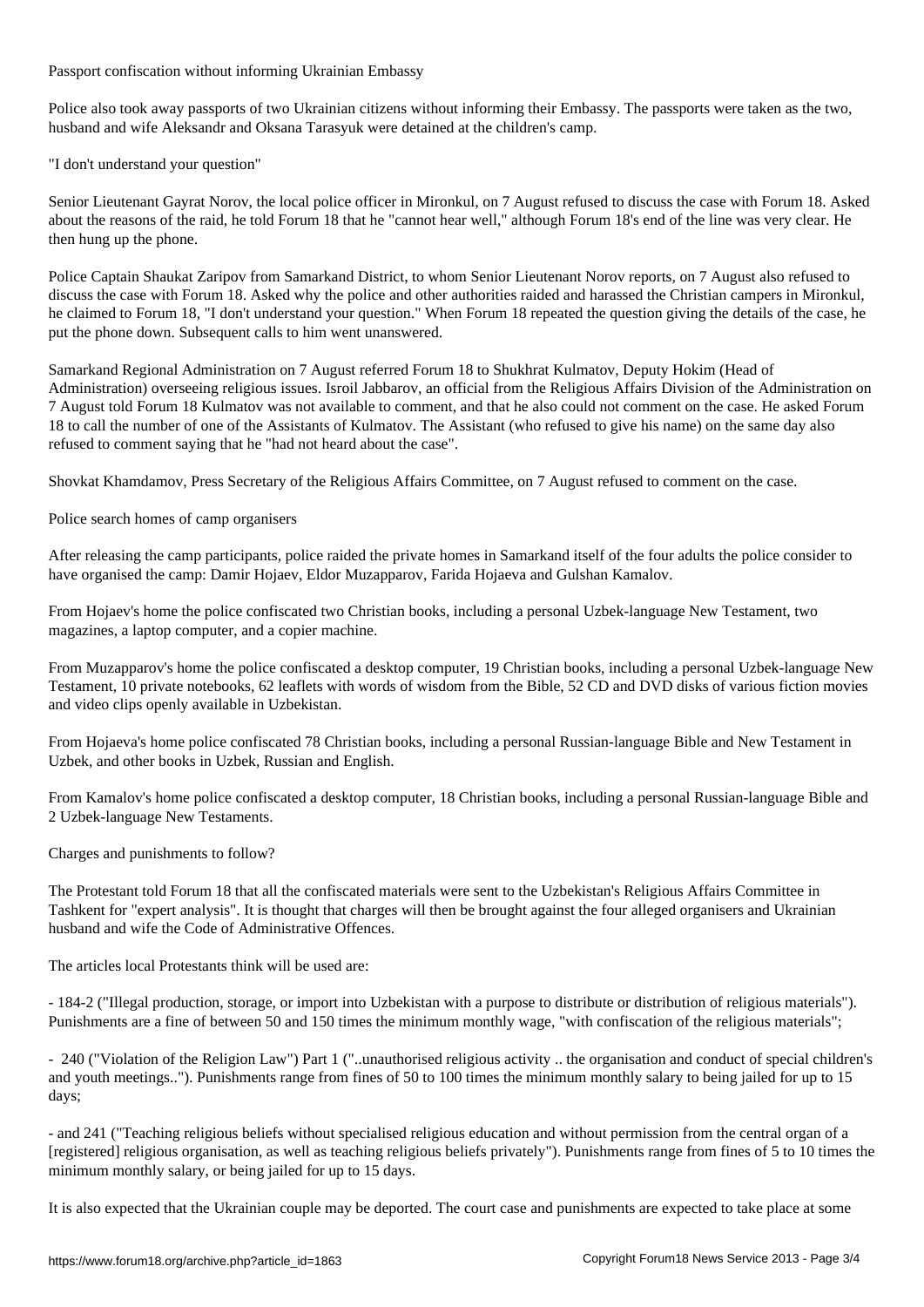Passport confiscation without informing Ukrainian Embassy

Police also took away passports of two Ukrainian citizens without informing their Embassy. The passports were taken as the two, husband and wife Aleksandr and Oksana Tarasyuk were detained at the children's camp.

"I don't understand your question"

Senior Lieutenant Gayrat Norov, the local police officer in Mironkul, on 7 August refused to discuss the case with Forum 18. Asked about the reasons of the raid, he told Forum 18 that he "cannot hear well," although Forum 18's end of the line was very clear. He then hung up the phone.

Police Captain Shaukat Zaripov from Samarkand District, to whom Senior Lieutenant Norov reports, on 7 August also refused to discuss the case with Forum 18. Asked why the police and other authorities raided and harassed the Christian campers in Mironkul, he claimed to Forum 18, "I don't understand your question." When Forum 18 repeated the question giving the details of the case, he put the phone down. Subsequent calls to him went unanswered.

Samarkand Regional Administration on 7 August referred Forum 18 to Shukhrat Kulmatov, Deputy Hokim (Head of Administration) overseeing religious issues. Isroil Jabbarov, an official from the Religious Affairs Division of the Administration on 7 August told Forum 18 Kulmatov was not available to comment, and that he also could not comment on the case. He asked Forum 18 to call the number of one of the Assistants of Kulmatov. The Assistant (who refused to give his name) on the same day also refused to comment saying that he "had not heard about the case".

Shovkat Khamdamov, Press Secretary of the Religious Affairs Committee, on 7 August refused to comment on the case.

Police search homes of camp organisers

After releasing the camp participants, police raided the private homes in Samarkand itself of the four adults the police consider to have organised the camp: Damir Hojaev, Eldor Muzapparov, Farida Hojaeva and Gulshan Kamalov.

From Hojaev's home the police confiscated two Christian books, including a personal Uzbek-language New Testament, two magazines, a laptop computer, and a copier machine.

From Muzapparov's home the police confiscated a desktop computer, 19 Christian books, including a personal Uzbek-language New Testament, 10 private notebooks, 62 leaflets with words of wisdom from the Bible, 52 CD and DVD disks of various fiction movies and video clips openly available in Uzbekistan.

From Hojaeva's home police confiscated 78 Christian books, including a personal Russian-language Bible and New Testament in Uzbek, and other books in Uzbek, Russian and English.

From Kamalov's home police confiscated a desktop computer, 18 Christian books, including a personal Russian-language Bible and 2 Uzbek-language New Testaments.

Charges and punishments to follow?

The Protestant told Forum 18 that all the confiscated materials were sent to the Uzbekistan's Religious Affairs Committee in Tashkent for "expert analysis". It is thought that charges will then be brought against the four alleged organisers and Ukrainian husband and wife the Code of Administrative Offences.

The articles local Protestants think will be used are:

- 184-2 ("Illegal production, storage, or import into Uzbekistan with a purpose to distribute or distribution of religious materials"). Punishments are a fine of between 50 and 150 times the minimum monthly wage, "with confiscation of the religious materials";

- 240 ("Violation of the Religion Law") Part 1 ("..unauthorised religious activity .. the organisation and conduct of special children's and youth meetings.."). Punishments range from fines of 50 to 100 times the minimum monthly salary to being jailed for up to 15 days;

- and 241 ("Teaching religious beliefs without specialised religious education and without permission from the central organ of a [registered] religious organisation, as well as teaching religious beliefs privately"). Punishments range from fines of 5 to 10 times the minimum monthly salary, or being jailed for up to 15 days.

It is also expected that the Ukrainian couple may be deported. The court case and punishments are expected to take place at some